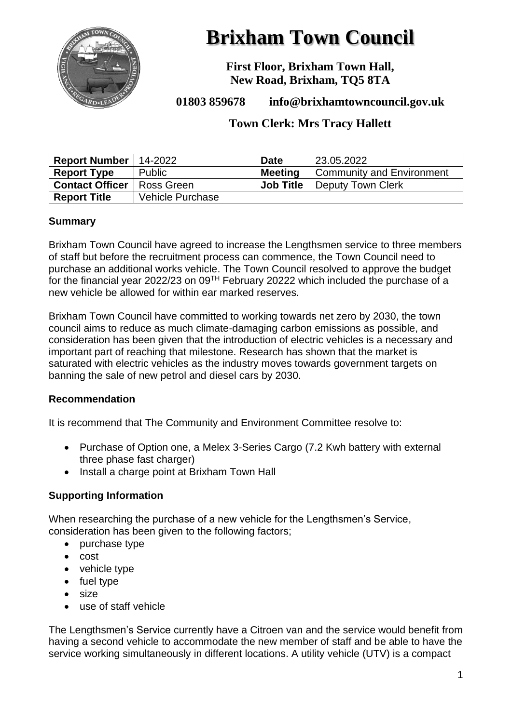

# **Brixham Town Council**

**First Floor, Brixham Town Hall, New Road, Brixham, TQ5 8TA**

**01803 859678 info@brixhamtowncouncil.gov.uk**

# **Town Clerk: Mrs Tracy Hallett**

| <b>Report Number</b>   | 14-2022          | <b>Date</b>      | 23.05.2022                  |
|------------------------|------------------|------------------|-----------------------------|
| <b>Report Type</b>     | Public           | <b>Meeting</b>   | ' Community and Environment |
| <b>Contact Officer</b> | Ross Green       | <b>Job Title</b> | <b>Deputy Town Clerk</b>    |
| <b>Report Title</b>    | Vehicle Purchase |                  |                             |

#### **Summary**

Brixham Town Council have agreed to increase the Lengthsmen service to three members of staff but before the recruitment process can commence, the Town Council need to purchase an additional works vehicle. The Town Council resolved to approve the budget for the financial year 2022/23 on 09TH February 20222 which included the purchase of a new vehicle be allowed for within ear marked reserves.

Brixham Town Council have committed to working towards net zero by 2030, the town council aims to reduce as much climate-damaging carbon emissions as possible, and consideration has been given that the introduction of electric vehicles is a necessary and important part of reaching that milestone. Research has shown that the market is saturated with electric vehicles as the industry moves towards government targets on banning the sale of new petrol and diesel cars by 2030.

#### **Recommendation**

It is recommend that The Community and Environment Committee resolve to:

- Purchase of Option one, a Melex 3-Series Cargo (7.2 Kwh battery with external three phase fast charger)
- Install a charge point at Brixham Town Hall

#### **Supporting Information**

When researching the purchase of a new vehicle for the Lengthsmen's Service, consideration has been given to the following factors;

- purchase type
- cost
- vehicle type
- fuel type
- size
- use of staff vehicle

The Lengthsmen's Service currently have a Citroen van and the service would benefit from having a second vehicle to accommodate the new member of staff and be able to have the service working simultaneously in different locations. A utility vehicle (UTV) is a compact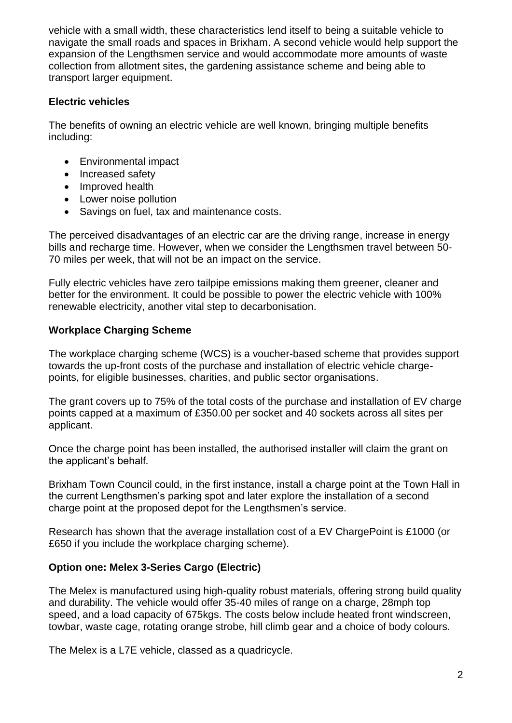vehicle with a small width, these characteristics lend itself to being a suitable vehicle to navigate the small roads and spaces in Brixham. A second vehicle would help support the expansion of the Lengthsmen service and would accommodate more amounts of waste collection from allotment sites, the gardening assistance scheme and being able to transport larger equipment.

#### **Electric vehicles**

The benefits of owning an electric vehicle are well known, bringing multiple benefits including:

- Environmental impact
- Increased safety
- Improved health
- Lower noise pollution
- Savings on fuel, tax and maintenance costs.

The perceived disadvantages of an electric car are the driving range, increase in energy bills and recharge time. However, when we consider the Lengthsmen travel between 50- 70 miles per week, that will not be an impact on the service.

Fully electric vehicles have zero tailpipe emissions making them greener, cleaner and better for the environment. It could be possible to power the electric vehicle with 100% renewable electricity, another vital step to decarbonisation.

#### **Workplace Charging Scheme**

The workplace charging scheme (WCS) is a voucher-based scheme that provides support towards the up-front costs of the purchase and installation of electric vehicle chargepoints, for eligible businesses, charities, and public sector organisations.

The grant covers up to 75% of the total costs of the purchase and installation of EV charge points capped at a maximum of £350.00 per socket and 40 sockets across all sites per applicant.

Once the charge point has been installed, the authorised installer will claim the grant on the applicant's behalf.

Brixham Town Council could, in the first instance, install a charge point at the Town Hall in the current Lengthsmen's parking spot and later explore the installation of a second charge point at the proposed depot for the Lengthsmen's service.

Research has shown that the average installation cost of a EV ChargePoint is £1000 (or £650 if you include the workplace charging scheme).

# **Option one: Melex 3-Series Cargo (Electric)**

The Melex is manufactured using high-quality robust materials, offering strong build quality and durability. The vehicle would offer 35-40 miles of range on a charge, 28mph top speed, and a load capacity of 675kgs. The costs below include heated front windscreen, towbar, waste cage, rotating orange strobe, hill climb gear and a choice of body colours.

The Melex is a L7E vehicle, classed as a quadricycle.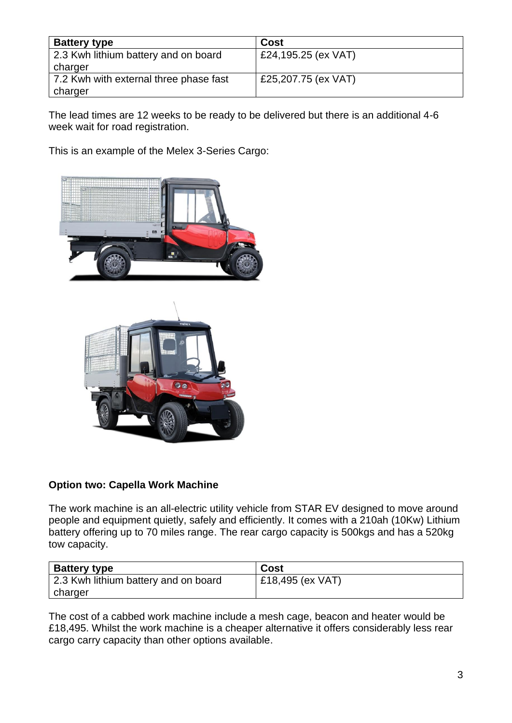| <b>Battery type</b>                    | Cost                |
|----------------------------------------|---------------------|
| 2.3 Kwh lithium battery and on board   | £24,195.25 (ex VAT) |
| charger                                |                     |
| 7.2 Kwh with external three phase fast | £25,207.75 (ex VAT) |
| charger                                |                     |

The lead times are 12 weeks to be ready to be delivered but there is an additional 4-6 week wait for road registration.

This is an example of the Melex 3-Series Cargo:





# **Option two: Capella Work Machine**

The work machine is an all-electric utility vehicle from STAR EV designed to move around people and equipment quietly, safely and efficiently. It comes with a 210ah (10Kw) Lithium battery offering up to 70 miles range. The rear cargo capacity is 500kgs and has a 520kg tow capacity.

| <b>Battery type</b>                  | Cost             |
|--------------------------------------|------------------|
| 2.3 Kwh lithium battery and on board | £18,495 (ex VAT) |
| charger                              |                  |

The cost of a cabbed work machine include a mesh cage, beacon and heater would be £18,495. Whilst the work machine is a cheaper alternative it offers considerably less rear cargo carry capacity than other options available.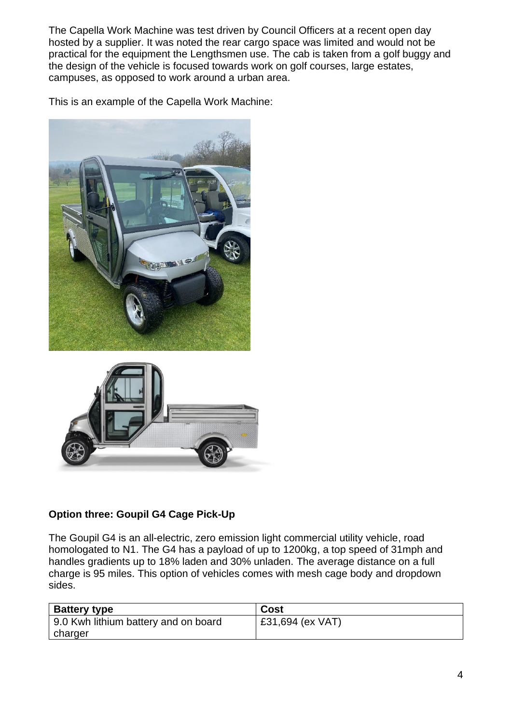The Capella Work Machine was test driven by Council Officers at a recent open day hosted by a supplier. It was noted the rear cargo space was limited and would not be practical for the equipment the Lengthsmen use. The cab is taken from a golf buggy and the design of the vehicle is focused towards work on golf courses, large estates, campuses, as opposed to work around a urban area.

This is an example of the Capella Work Machine:





# **Option three: Goupil G4 Cage Pick-Up**

The Goupil G4 is an all-electric, zero emission light commercial utility vehicle, road homologated to N1. The G4 has a payload of up to 1200kg, a top speed of 31mph and handles gradients up to 18% laden and 30% unladen. The average distance on a full charge is 95 miles. This option of vehicles comes with mesh cage body and dropdown sides.

| <b>Battery type</b>                  | Cost             |
|--------------------------------------|------------------|
| 9.0 Kwh lithium battery and on board | £31,694 (ex VAT) |
| charger                              |                  |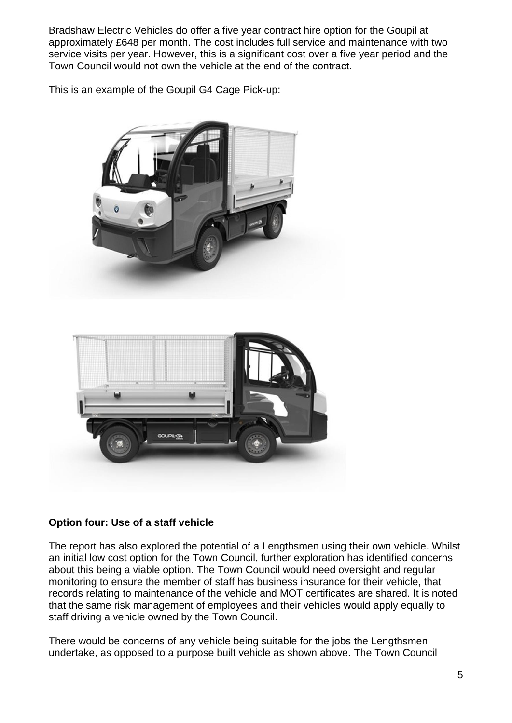Bradshaw Electric Vehicles do offer a five year contract hire option for the Goupil at approximately £648 per month. The cost includes full service and maintenance with two service visits per year. However, this is a significant cost over a five year period and the Town Council would not own the vehicle at the end of the contract.

This is an example of the Goupil G4 Cage Pick-up:





#### **Option four: Use of a staff vehicle**

The report has also explored the potential of a Lengthsmen using their own vehicle. Whilst an initial low cost option for the Town Council, further exploration has identified concerns about this being a viable option. The Town Council would need oversight and regular monitoring to ensure the member of staff has business insurance for their vehicle, that records relating to maintenance of the vehicle and MOT certificates are shared. It is noted that the same risk management of employees and their vehicles would apply equally to staff driving a vehicle owned by the Town Council.

There would be concerns of any vehicle being suitable for the jobs the Lengthsmen undertake, as opposed to a purpose built vehicle as shown above. The Town Council